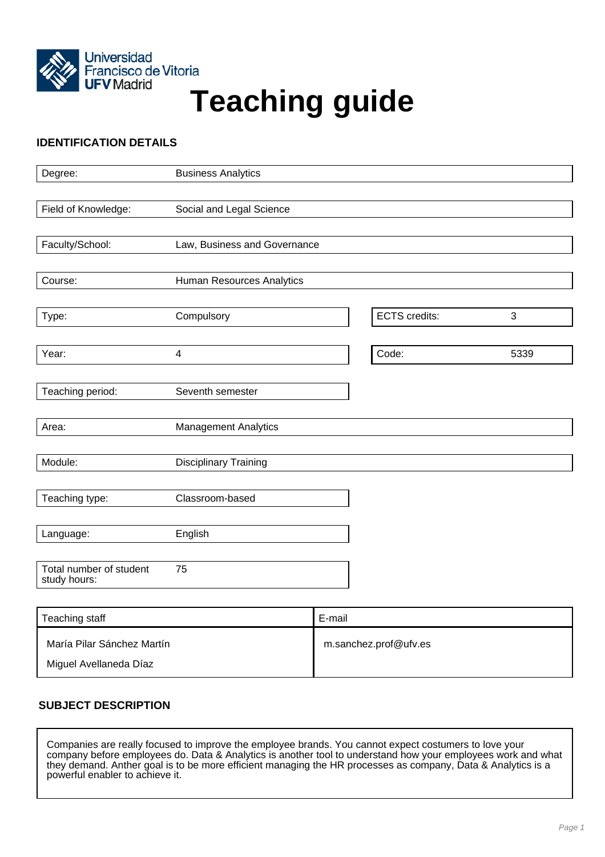

# Universidad<br>Francisco de Vitoria<br>**Teaching guide**

# **IDENTIFICATION DETAILS**

| Degree:                                 | <b>Business Analytics</b>    |                      |      |
|-----------------------------------------|------------------------------|----------------------|------|
|                                         |                              |                      |      |
| Field of Knowledge:                     | Social and Legal Science     |                      |      |
|                                         |                              |                      |      |
| Faculty/School:                         | Law, Business and Governance |                      |      |
|                                         |                              |                      |      |
| Course:                                 | Human Resources Analytics    |                      |      |
|                                         |                              |                      |      |
| Type:                                   | Compulsory                   | <b>ECTS</b> credits: | 3    |
|                                         |                              |                      |      |
| Year:                                   | $\overline{\mathbf{4}}$      | Code:                | 5339 |
|                                         |                              |                      |      |
| Teaching period:                        | Seventh semester             |                      |      |
| Area:                                   |                              |                      |      |
|                                         | <b>Management Analytics</b>  |                      |      |
| Module:                                 | <b>Disciplinary Training</b> |                      |      |
|                                         |                              |                      |      |
| Teaching type:                          | Classroom-based              |                      |      |
|                                         |                              |                      |      |
| Language:                               | English                      |                      |      |
|                                         |                              |                      |      |
| Total number of student<br>study hours: | 75                           |                      |      |
|                                         |                              |                      |      |

| Teaching staff                                       | E-mail                |
|------------------------------------------------------|-----------------------|
| María Pilar Sánchez Martín<br>Miguel Avellaneda Díaz | m.sanchez.prof@ufv.es |

# **SUBJECT DESCRIPTION**

Companies are really focused to improve the employee brands. You cannot expect costumers to love your company before employees do. Data & Analytics is another tool to understand how your employees work and what they demand. Anther goal is to be more efficient managing the HR processes as company, Data & Analytics is a powerful enabler to achieve it.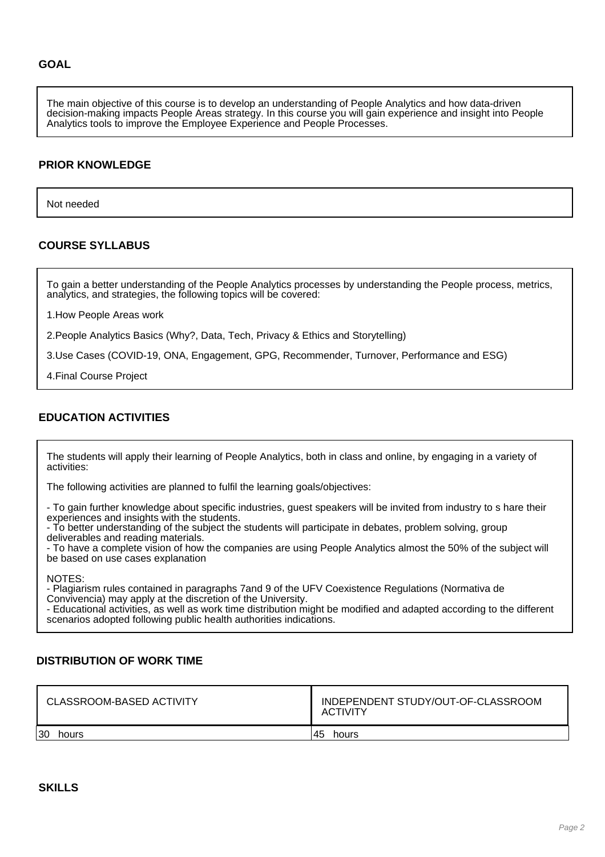The main objective of this course is to develop an understanding of People Analytics and how data-driven decision-making impacts People Areas strategy. In this course you will gain experience and insight into People Analytics tools to improve the Employee Experience and People Processes.

## **PRIOR KNOWLEDGE**

Not needed

## **COURSE SYLLABUS**

To gain a better understanding of the People Analytics processes by understanding the People process, metrics, analytics, and strategies, the following topics will be covered:

1.How People Areas work

2.People Analytics Basics (Why?, Data, Tech, Privacy & Ethics and Storytelling)

3.Use Cases (COVID-19, ONA, Engagement, GPG, Recommender, Turnover, Performance and ESG)

4.Final Course Project

## **EDUCATION ACTIVITIES**

The students will apply their learning of People Analytics, both in class and online, by engaging in a variety of activities:

The following activities are planned to fulfil the learning goals/objectives:

- To gain further knowledge about specific industries, guest speakers will be invited from industry to s hare their experiences and insights with the students.

- To better understanding of the subject the students will participate in debates, problem solving, group deliverables and reading materials.

- To have a complete vision of how the companies are using People Analytics almost the 50% of the subject will be based on use cases explanation

NOTES:

- Plagiarism rules contained in paragraphs 7and 9 of the UFV Coexistence Regulations (Normativa de Convivencia) may apply at the discretion of the University.

- Educational activities, as well as work time distribution might be modified and adapted according to the different scenarios adopted following public health authorities indications.

## **DISTRIBUTION OF WORK TIME**

| CLASSROOM-BASED ACTIVITY | INDEPENDENT STUDY/OUT-OF-CLASSROOM<br><b>ACTIVITY</b> |
|--------------------------|-------------------------------------------------------|
| 30                       | 45                                                    |
| hours                    | hours                                                 |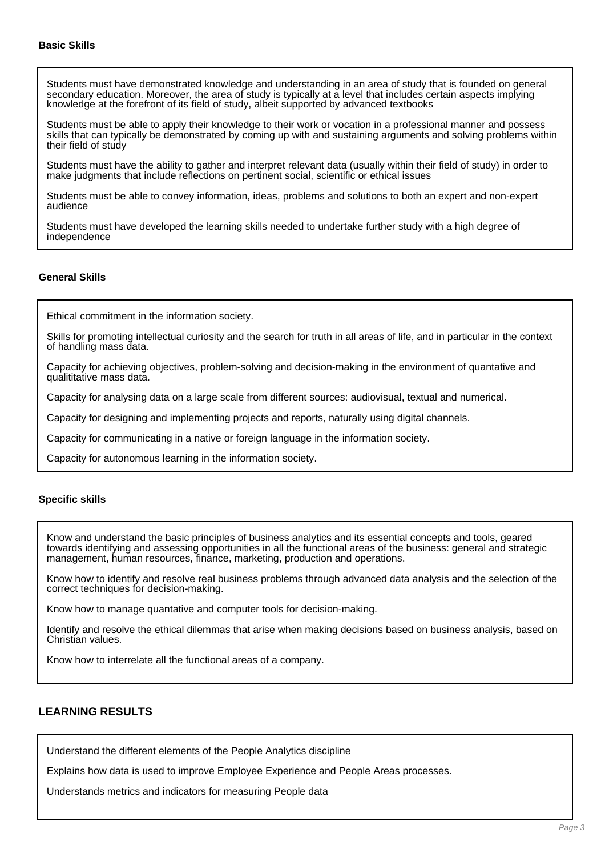Students must have demonstrated knowledge and understanding in an area of study that is founded on general secondary education. Moreover, the area of study is typically at a level that includes certain aspects implying knowledge at the forefront of its field of study, albeit supported by advanced textbooks

Students must be able to apply their knowledge to their work or vocation in a professional manner and possess skills that can typically be demonstrated by coming up with and sustaining arguments and solving problems within their field of study

Students must have the ability to gather and interpret relevant data (usually within their field of study) in order to make judgments that include reflections on pertinent social, scientific or ethical issues

Students must be able to convey information, ideas, problems and solutions to both an expert and non-expert audience

Students must have developed the learning skills needed to undertake further study with a high degree of independence

## **General Skills**

Ethical commitment in the information society.

Skills for promoting intellectual curiosity and the search for truth in all areas of life, and in particular in the context of handling mass data.

Capacity for achieving objectives, problem-solving and decision-making in the environment of quantative and qualititative mass data.

Capacity for analysing data on a large scale from different sources: audiovisual, textual and numerical.

Capacity for designing and implementing projects and reports, naturally using digital channels.

Capacity for communicating in a native or foreign language in the information society.

Capacity for autonomous learning in the information society.

## **Specific skills**

Know and understand the basic principles of business analytics and its essential concepts and tools, geared towards identifying and assessing opportunities in all the functional areas of the business: general and strategic management, human resources, finance, marketing, production and operations.

Know how to identify and resolve real business problems through advanced data analysis and the selection of the correct techniques for decision-making.

Know how to manage quantative and computer tools for decision-making.

Identify and resolve the ethical dilemmas that arise when making decisions based on business analysis, based on Christian values.

Know how to interrelate all the functional areas of a company.

## **LEARNING RESULTS**

Understand the different elements of the People Analytics discipline

Explains how data is used to improve Employee Experience and People Areas processes.

Understands metrics and indicators for measuring People data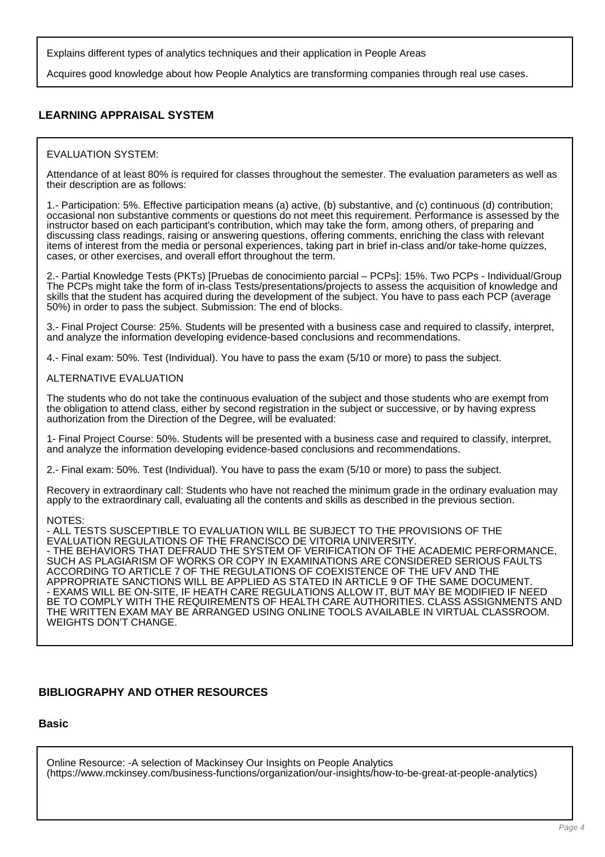Explains different types of analytics techniques and their application in People Areas

Acquires good knowledge about how People Analytics are transforming companies through real use cases.

# **LEARNING APPRAISAL SYSTEM**

#### EVALUATION SYSTEM:

Attendance of at least 80% is required for classes throughout the semester. The evaluation parameters as well as their description are as follows:

1.- Participation: 5%. Effective participation means (a) active, (b) substantive, and (c) continuous (d) contribution; occasional non substantive comments or questions do not meet this requirement. Performance is assessed by the instructor based on each participant's contribution, which may take the form, among others, of preparing and discussing class readings, raising or answering questions, offering comments, enriching the class with relevant items of interest from the media or personal experiences, taking part in brief in-class and/or take-home quizzes, cases, or other exercises, and overall effort throughout the term.

2.- Partial Knowledge Tests (PKTs) [Pruebas de conocimiento parcial – PCPs]: 15%. Two PCPs - Individual/Group The PCPs might take the form of in-class Tests/presentations/projects to assess the acquisition of knowledge and skills that the student has acquired during the development of the subject. You have to pass each PCP (average 50%) in order to pass the subject. Submission: The end of blocks.

3.- Final Project Course: 25%. Students will be presented with a business case and required to classify, interpret, and analyze the information developing evidence-based conclusions and recommendations.

4.- Final exam: 50%. Test (Individual). You have to pass the exam (5/10 or more) to pass the subject.

#### ALTERNATIVE EVALUATION

The students who do not take the continuous evaluation of the subject and those students who are exempt from the obligation to attend class, either by second registration in the subject or successive, or by having express authorization from the Direction of the Degree, will be evaluated:

1- Final Project Course: 50%. Students will be presented with a business case and required to classify, interpret, and analyze the information developing evidence-based conclusions and recommendations.

2.- Final exam: 50%. Test (Individual). You have to pass the exam (5/10 or more) to pass the subject.

Recovery in extraordinary call: Students who have not reached the minimum grade in the ordinary evaluation may apply to the extraordinary call, evaluating all the contents and skills as described in the previous section.

#### NOTES:

- ALL TESTS SUSCEPTIBLE TO EVALUATION WILL BE SUBJECT TO THE PROVISIONS OF THE EVALUATION REGULATIONS OF THE FRANCISCO DE VITORIA UNIVERSITY. - THE BEHAVIORS THAT DEFRAUD THE SYSTEM OF VERIFICATION OF THE ACADEMIC PERFORMANCE, SUCH AS PLAGIARISM OF WORKS OR COPY IN EXAMINATIONS ARE CONSIDERED SERIOUS FAULTS ACCORDING TO ARTICLE 7 OF THE REGULATIONS OF COEXISTENCE OF THE UFV AND THE APPROPRIATE SANCTIONS WILL BE APPLIED AS STATED IN ARTICLE 9 OF THE SAME DOCUMENT. - EXAMS WILL BE ON-SITE, IF HEATH CARE REGULATIONS ALLOW IT, BUT MAY BE MODIFIED IF NEED BE TO COMPLY WITH THE REQUIREMENTS OF HEALTH CARE AUTHORITIES. CLASS ASSIGNMENTS AND THE WRITTEN EXAM MAY BE ARRANGED USING ONLINE TOOLS AVAILABLE IN VIRTUAL CLASSROOM. WEIGHTS DON'T CHANGE.

## **BIBLIOGRAPHY AND OTHER RESOURCES**

## **Basic**

Online Resource: -A selection of Mackinsey Our Insights on People Analytics (https://www.mckinsey.com/business-functions/organization/our-insights/how-to-be-great-at-people-analytics)